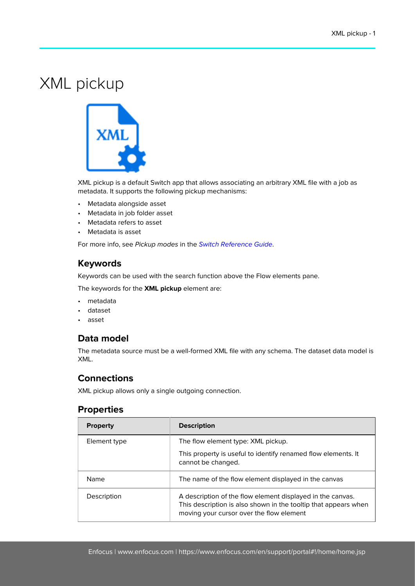# XML pickup



XML pickup is a default Switch app that allows associating an arbitrary XML file with a job as metadata. It supports the following pickup mechanisms:

- Metadata alongside asset
- Metadata in job folder asset
- Metadata refers to asset
- Metadata is asset

For more info, see Pickup modes in the [Switch Reference Guide](https://www.enfocus.com/en/support/manuals/switch-manuals).

### **Keywords**

Keywords can be used with the search function above the Flow elements pane.

The keywords for the **XML pickup** element are:

- metadata
- dataset
- asset

### **Data model**

The metadata source must be a well-formed XML file with any schema. The dataset data model is XML.

## **Connections**

XML pickup allows only a single outgoing connection.

#### **Properties**

| <b>Property</b> | <b>Description</b>                                                                                                                                                        |
|-----------------|---------------------------------------------------------------------------------------------------------------------------------------------------------------------------|
| Element type    | The flow element type: XML pickup.                                                                                                                                        |
|                 | This property is useful to identify renamed flow elements. It<br>cannot be changed.                                                                                       |
| Name            | The name of the flow element displayed in the canvas                                                                                                                      |
| Description     | A description of the flow element displayed in the canvas.<br>This description is also shown in the tooltip that appears when<br>moving your cursor over the flow element |